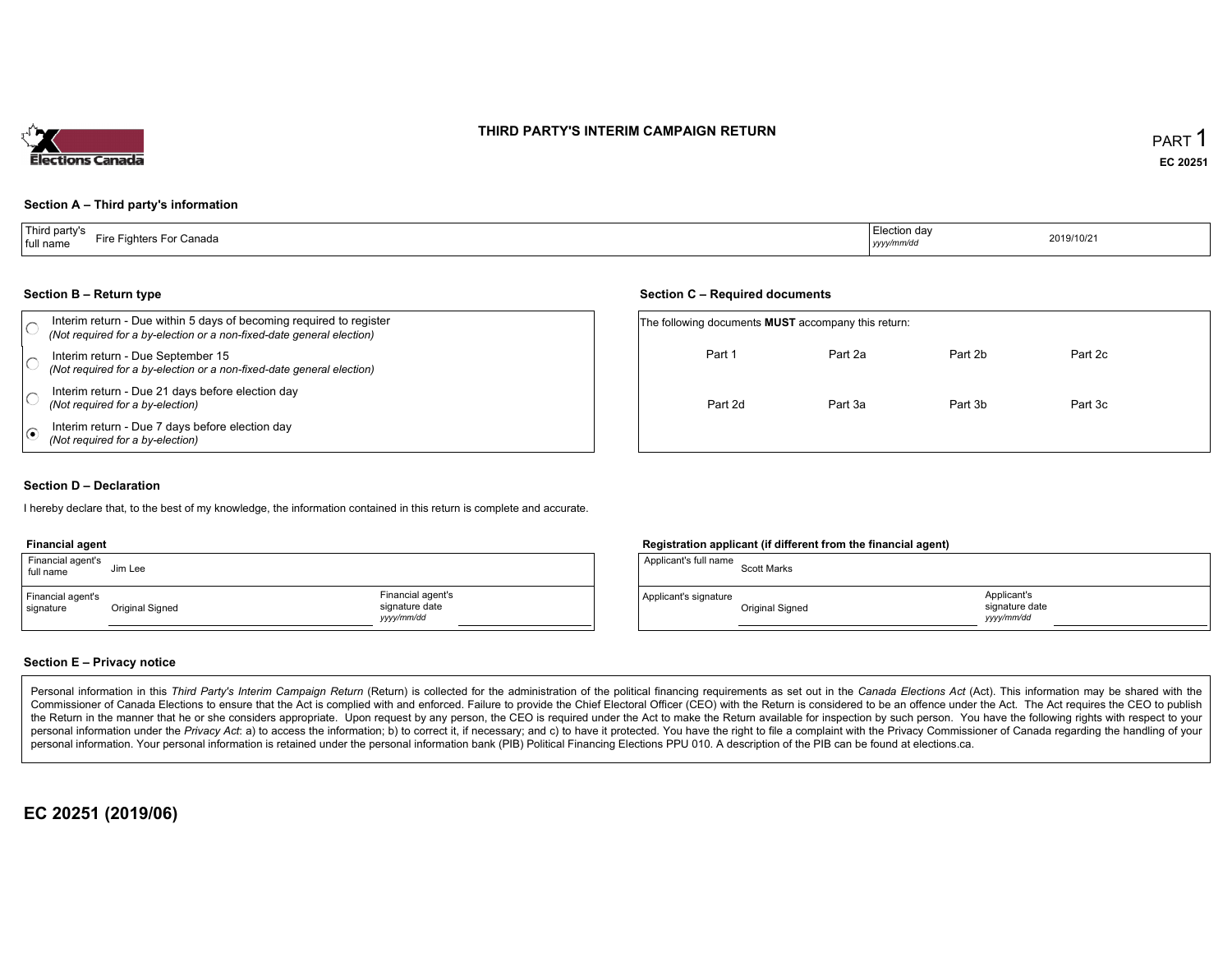# THIRD PARTY'S INTERIM CAMPAIGN RETURN



## Section <sup>A</sup> – Third party's information

#### Section <sup>B</sup> – Return type

| Section B – Return type                                                                                                                      |                                                            | Section C – Required documents |         |         |         |  |
|----------------------------------------------------------------------------------------------------------------------------------------------|------------------------------------------------------------|--------------------------------|---------|---------|---------|--|
| Interim return - Due within 5 days of becoming required to register<br>(Not required for a by-election or a non-fixed-date general election) | The following documents <b>MUST</b> accompany this return: |                                |         |         |         |  |
| Interim return - Due September 15<br>(Not required for a by-election or a non-fixed-date general election)                                   |                                                            | Part 1                         | Part 2a | Part 2b | Part 2c |  |
| Interim return - Due 21 days before election day<br>(Not required for a by-election)                                                         |                                                            | Part 2d                        | Part 3a | Part 3b | Part 3c |  |
| Interim return - Due 7 days before election day<br>(Not required for a by-election)                                                          |                                                            |                                |         |         |         |  |

## Section <sup>D</sup> – Declaration

hereby declare that, to the best of my knowledge, the information contained in this return is complete and accurate.

#### Financial agent

| Financial agent's<br>full name | Jim Lee         |                                                   | Applicant's full name | <b>Scott Marks</b> |
|--------------------------------|-----------------|---------------------------------------------------|-----------------------|--------------------|
| Financial agent's<br>signature | Original Signed | Financial agent's<br>signature date<br>yyyy/mm/dd | Applicant's signature | Original Signec    |

## Registration applicant (if different from the financial agent)

| Applicant's full name | <b>Scott Marks</b> |                                            |
|-----------------------|--------------------|--------------------------------------------|
| Applicant's signature | Original Signed    | Applicant's<br>signature date<br>vyy/mm/dd |

#### Section <sup>E</sup> – Privacy notice

Personal information in this Third Party's Interim Campaign Return (Return) is collected for the administration of the political financing requirements as set out in the Canada Elections Act (Act). This information may be Commissioner of Canada Elections to ensure that the Act is complied with and enforced. Failure to provide the Chief Electoral Officer (CEO) with the Return is considered to be an offence under the Act. The Act requires the the Return in the manner that he or she considers appropriate. Upon request by any person, the CEO is required under the Act to make the Return available for inspection by such person. You have the capacity with respect to personal information under the Privacy Act. a) to access the information, b) to correct it, if necessary; and c) to have it protected. You have the right to file a complaint with the Privacy Commissioner of Canada regardin personal information. Your personal information is retained under the personal information bank (PIB) Political Financing Elections PPU 010. <sup>A</sup> description of the PIB can be found at elections.ca.

# EC <sup>20251</sup> (2019/06)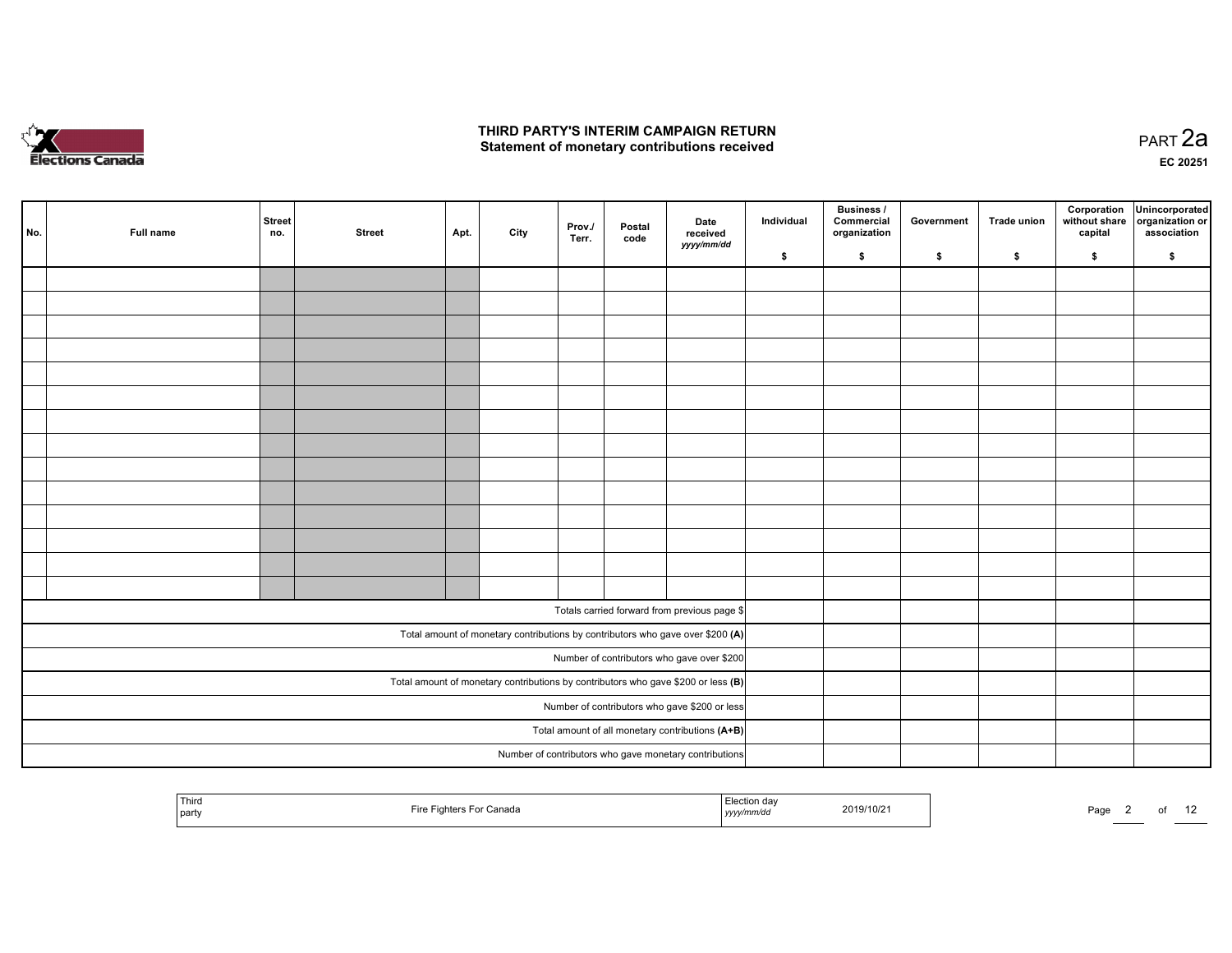

#### THIRD PARTY'S INTERIM CAMPAIGN RETURN Statement of monetary contributions received

| No. | Full name | <b>Street</b><br>no. | <b>Street</b> | Apt. | City | Prov./<br>Terr. | Postal<br>code | Date<br>received<br>yyyy/mm/dd                                                    | Individual | <b>Business /</b><br>Commercial<br>organization | Government | <b>Trade union</b> | Corporation<br>without share<br>capital | Unincorporated<br>organization or<br>association |
|-----|-----------|----------------------|---------------|------|------|-----------------|----------------|-----------------------------------------------------------------------------------|------------|-------------------------------------------------|------------|--------------------|-----------------------------------------|--------------------------------------------------|
|     |           |                      |               |      |      |                 |                |                                                                                   | \$         | \$                                              | \$         | \$                 | \$                                      | \$                                               |
|     |           |                      |               |      |      |                 |                |                                                                                   |            |                                                 |            |                    |                                         |                                                  |
|     |           |                      |               |      |      |                 |                |                                                                                   |            |                                                 |            |                    |                                         |                                                  |
|     |           |                      |               |      |      |                 |                |                                                                                   |            |                                                 |            |                    |                                         |                                                  |
|     |           |                      |               |      |      |                 |                |                                                                                   |            |                                                 |            |                    |                                         |                                                  |
|     |           |                      |               |      |      |                 |                |                                                                                   |            |                                                 |            |                    |                                         |                                                  |
|     |           |                      |               |      |      |                 |                |                                                                                   |            |                                                 |            |                    |                                         |                                                  |
|     |           |                      |               |      |      |                 |                |                                                                                   |            |                                                 |            |                    |                                         |                                                  |
|     |           |                      |               |      |      |                 |                |                                                                                   |            |                                                 |            |                    |                                         |                                                  |
|     |           |                      |               |      |      |                 |                |                                                                                   |            |                                                 |            |                    |                                         |                                                  |
|     |           |                      |               |      |      |                 |                |                                                                                   |            |                                                 |            |                    |                                         |                                                  |
|     |           |                      |               |      |      |                 |                |                                                                                   |            |                                                 |            |                    |                                         |                                                  |
|     |           |                      |               |      |      |                 |                |                                                                                   |            |                                                 |            |                    |                                         |                                                  |
|     |           |                      |               |      |      |                 |                |                                                                                   |            |                                                 |            |                    |                                         |                                                  |
|     |           |                      |               |      |      |                 |                |                                                                                   |            |                                                 |            |                    |                                         |                                                  |
|     |           |                      |               |      |      |                 |                | Totals carried forward from previous page \$                                      |            |                                                 |            |                    |                                         |                                                  |
|     |           |                      |               |      |      |                 |                | Total amount of monetary contributions by contributors who gave over \$200 (A)    |            |                                                 |            |                    |                                         |                                                  |
|     |           |                      |               |      |      |                 |                | Number of contributors who gave over \$200                                        |            |                                                 |            |                    |                                         |                                                  |
|     |           |                      |               |      |      |                 |                | Total amount of monetary contributions by contributors who gave \$200 or less (B) |            |                                                 |            |                    |                                         |                                                  |
|     |           |                      |               |      |      |                 |                | Number of contributors who gave \$200 or less                                     |            |                                                 |            |                    |                                         |                                                  |
|     |           |                      |               |      |      |                 |                | Total amount of all monetary contributions (A+B)                                  |            |                                                 |            |                    |                                         |                                                  |
|     |           |                      |               |      |      |                 |                | Number of contributors who gave monetary contributions                            |            |                                                 |            |                    |                                         |                                                  |
|     |           |                      |               |      |      |                 |                |                                                                                   |            |                                                 |            |                    |                                         |                                                  |

| <b>Third</b><br>  party | For Canada<br>-iro<br>Eightor<br>┅ | -.-<br>tion dav<br>mm/dʻ<br>  <i>yyyy</i> | 2019/10/21 | Page |  |  |
|-------------------------|------------------------------------|-------------------------------------------|------------|------|--|--|
|                         |                                    |                                           |            |      |  |  |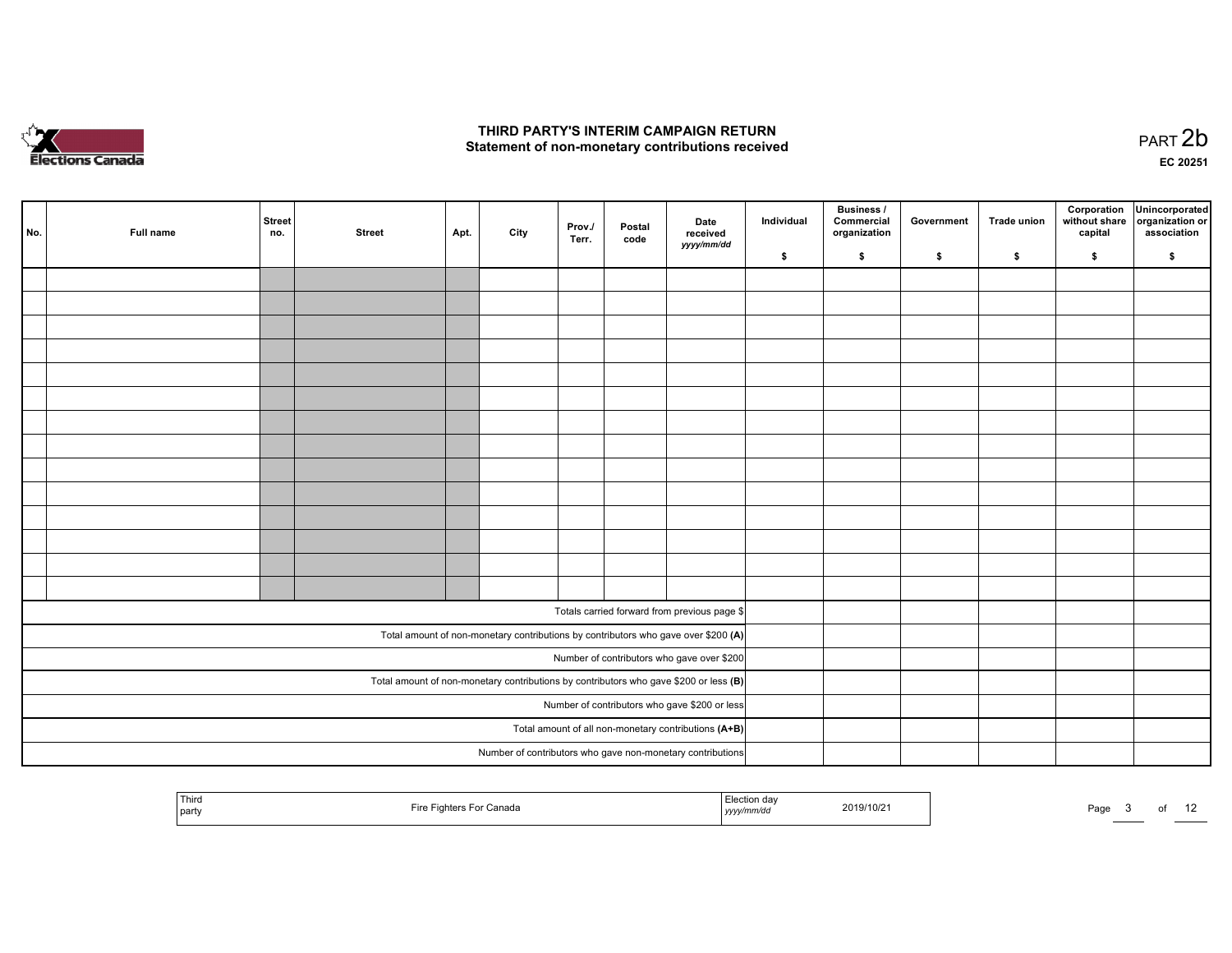

#### THIRD PARTY'S INTERIM CAMPAIGN RETURN Statement of non-monetary contributions received

 PART 2bEC <sup>20251</sup>

| No. | Full name                                                  | <b>Street</b><br>no. | <b>Street</b> | Apt. | City | Prov./<br>Terr. | Postal<br>code | Date<br>received<br>yyyy/mm/dd                                                          | Individual | <b>Business /</b><br>Commercial<br>organization | Government | <b>Trade union</b> | Corporation<br>without share<br>capital | Unincorporated<br>organization or<br>association |
|-----|------------------------------------------------------------|----------------------|---------------|------|------|-----------------|----------------|-----------------------------------------------------------------------------------------|------------|-------------------------------------------------|------------|--------------------|-----------------------------------------|--------------------------------------------------|
|     |                                                            |                      |               |      |      |                 |                |                                                                                         | \$         | \$                                              | \$         | \$                 | \$                                      | \$                                               |
|     |                                                            |                      |               |      |      |                 |                |                                                                                         |            |                                                 |            |                    |                                         |                                                  |
|     |                                                            |                      |               |      |      |                 |                |                                                                                         |            |                                                 |            |                    |                                         |                                                  |
|     |                                                            |                      |               |      |      |                 |                |                                                                                         |            |                                                 |            |                    |                                         |                                                  |
|     |                                                            |                      |               |      |      |                 |                |                                                                                         |            |                                                 |            |                    |                                         |                                                  |
|     |                                                            |                      |               |      |      |                 |                |                                                                                         |            |                                                 |            |                    |                                         |                                                  |
|     |                                                            |                      |               |      |      |                 |                |                                                                                         |            |                                                 |            |                    |                                         |                                                  |
|     |                                                            |                      |               |      |      |                 |                |                                                                                         |            |                                                 |            |                    |                                         |                                                  |
|     |                                                            |                      |               |      |      |                 |                |                                                                                         |            |                                                 |            |                    |                                         |                                                  |
|     |                                                            |                      |               |      |      |                 |                |                                                                                         |            |                                                 |            |                    |                                         |                                                  |
|     |                                                            |                      |               |      |      |                 |                |                                                                                         |            |                                                 |            |                    |                                         |                                                  |
|     |                                                            |                      |               |      |      |                 |                |                                                                                         |            |                                                 |            |                    |                                         |                                                  |
|     |                                                            |                      |               |      |      |                 |                |                                                                                         |            |                                                 |            |                    |                                         |                                                  |
|     |                                                            |                      |               |      |      |                 |                |                                                                                         |            |                                                 |            |                    |                                         |                                                  |
|     |                                                            |                      |               |      |      |                 |                |                                                                                         |            |                                                 |            |                    |                                         |                                                  |
|     |                                                            |                      |               |      |      |                 |                | Totals carried forward from previous page \$                                            |            |                                                 |            |                    |                                         |                                                  |
|     |                                                            |                      |               |      |      |                 |                | Total amount of non-monetary contributions by contributors who gave over \$200 (A)      |            |                                                 |            |                    |                                         |                                                  |
|     |                                                            |                      |               |      |      |                 |                | Number of contributors who gave over \$200                                              |            |                                                 |            |                    |                                         |                                                  |
|     |                                                            |                      |               |      |      |                 |                | Total amount of non-monetary contributions by contributors who gave \$200 or less $(B)$ |            |                                                 |            |                    |                                         |                                                  |
|     | Number of contributors who gave \$200 or less              |                      |               |      |      |                 |                |                                                                                         |            |                                                 |            |                    |                                         |                                                  |
|     | Total amount of all non-monetary contributions (A+B)       |                      |               |      |      |                 |                |                                                                                         |            |                                                 |            |                    |                                         |                                                  |
|     | Number of contributors who gave non-monetary contributions |                      |               |      |      |                 |                |                                                                                         |            |                                                 |            |                    |                                         |                                                  |

| ' Third<br>---<br>ـ ت<br>Fire<br>2019/10/2<br>* Canad⊾<br>Page<br>ю<br>party<br>'mm/ao<br>уууу, |  |
|-------------------------------------------------------------------------------------------------|--|
|-------------------------------------------------------------------------------------------------|--|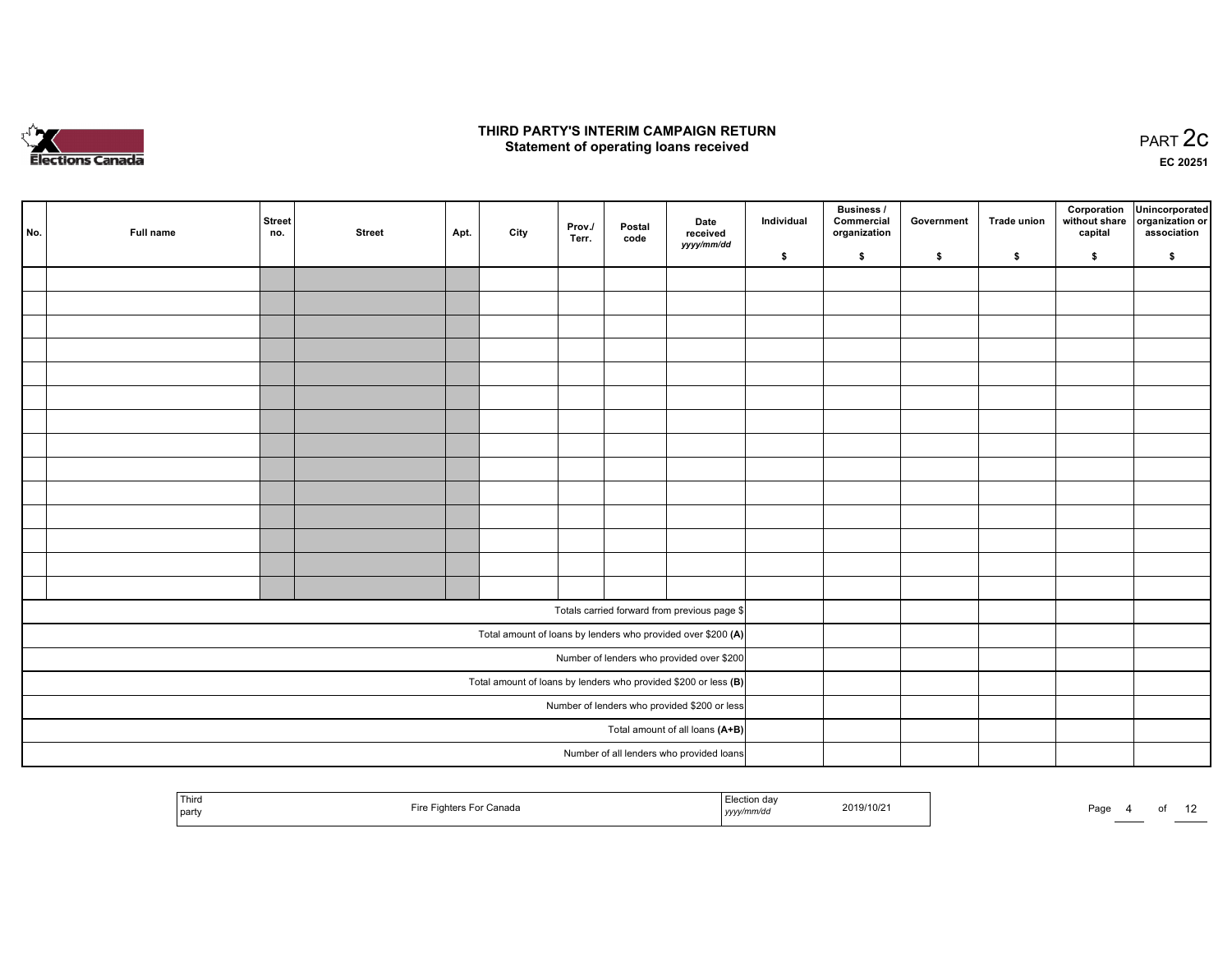

#### THIRD PARTY'S INTERIM CAMPAIGN RETURN  $\frac{1}{2}$  of PART  $\frac{2}{3}$  PART  $\frac{2}{3}$

EC <sup>20251</sup>

| No.                                          | Full name | <b>Street</b><br>no. | <b>Street</b> | Apt. | City | Prov./<br>Terr. | Postal<br>code | Date<br>received<br>yyyy/mm/dd                                  | Individual | <b>Business /</b><br>Commercial<br>organization | Government | <b>Trade union</b> | Corporation<br>capital | Unincorporated<br>without share organization or<br>association |
|----------------------------------------------|-----------|----------------------|---------------|------|------|-----------------|----------------|-----------------------------------------------------------------|------------|-------------------------------------------------|------------|--------------------|------------------------|----------------------------------------------------------------|
|                                              |           |                      |               |      |      |                 |                |                                                                 | \$         | \$                                              | \$         | \$                 | \$                     | \$                                                             |
|                                              |           |                      |               |      |      |                 |                |                                                                 |            |                                                 |            |                    |                        |                                                                |
|                                              |           |                      |               |      |      |                 |                |                                                                 |            |                                                 |            |                    |                        |                                                                |
|                                              |           |                      |               |      |      |                 |                |                                                                 |            |                                                 |            |                    |                        |                                                                |
|                                              |           |                      |               |      |      |                 |                |                                                                 |            |                                                 |            |                    |                        |                                                                |
|                                              |           |                      |               |      |      |                 |                |                                                                 |            |                                                 |            |                    |                        |                                                                |
|                                              |           |                      |               |      |      |                 |                |                                                                 |            |                                                 |            |                    |                        |                                                                |
|                                              |           |                      |               |      |      |                 |                |                                                                 |            |                                                 |            |                    |                        |                                                                |
|                                              |           |                      |               |      |      |                 |                |                                                                 |            |                                                 |            |                    |                        |                                                                |
|                                              |           |                      |               |      |      |                 |                |                                                                 |            |                                                 |            |                    |                        |                                                                |
|                                              |           |                      |               |      |      |                 |                |                                                                 |            |                                                 |            |                    |                        |                                                                |
|                                              |           |                      |               |      |      |                 |                |                                                                 |            |                                                 |            |                    |                        |                                                                |
|                                              |           |                      |               |      |      |                 |                |                                                                 |            |                                                 |            |                    |                        |                                                                |
|                                              |           |                      |               |      |      |                 |                |                                                                 |            |                                                 |            |                    |                        |                                                                |
|                                              |           |                      |               |      |      |                 |                |                                                                 |            |                                                 |            |                    |                        |                                                                |
|                                              |           |                      |               |      |      |                 |                | Totals carried forward from previous page \$                    |            |                                                 |            |                    |                        |                                                                |
|                                              |           |                      |               |      |      |                 |                | Total amount of loans by lenders who provided over \$200 (A)    |            |                                                 |            |                    |                        |                                                                |
|                                              |           |                      |               |      |      |                 |                | Number of lenders who provided over \$200                       |            |                                                 |            |                    |                        |                                                                |
|                                              |           |                      |               |      |      |                 |                | Total amount of loans by lenders who provided \$200 or less (B) |            |                                                 |            |                    |                        |                                                                |
| Number of lenders who provided \$200 or less |           |                      |               |      |      |                 |                |                                                                 |            |                                                 |            |                    |                        |                                                                |
|                                              |           |                      |               |      |      |                 |                | Total amount of all loans (A+B)                                 |            |                                                 |            |                    |                        |                                                                |
|                                              |           |                      |               |      |      |                 |                | Number of all lenders who provided loans                        |            |                                                 |            |                    |                        |                                                                |
|                                              |           |                      |               |      |      |                 |                |                                                                 |            |                                                 |            |                    |                        |                                                                |

| <sup>1</sup> Third<br>Fire<br>Fighters For Canada<br>l party | Election day<br>2019/10/21<br>yyyy/mm/dd<br>-- . - - . - | . .<br>Page |
|--------------------------------------------------------------|----------------------------------------------------------|-------------|
|--------------------------------------------------------------|----------------------------------------------------------|-------------|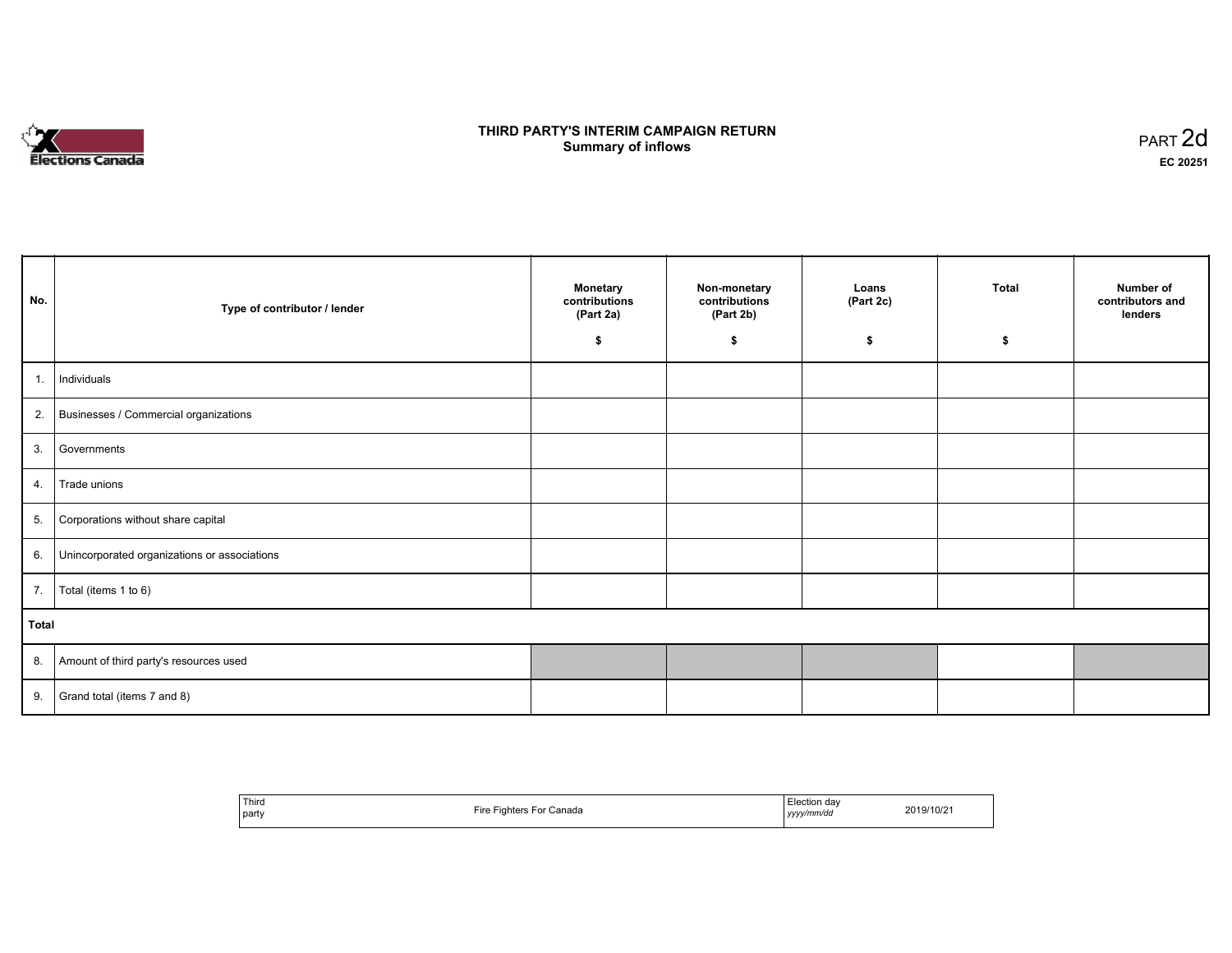# **Elections Canada**

#### THIRD PARTY'S INTERIM CAMPAIGN RETURN<br>Cummery of inflows **Summary of inflows**  $\frac{1}{2}$  of inflows  $\frac{1}{2}$  part 2d

| No.   | Type of contributor / lender                    | <b>Monetary</b><br>contributions<br>(Part 2a)<br>\$ | Non-monetary<br>contributions<br>(Part 2b)<br>\$ | Loans<br>(Part 2c)<br>\$ | <b>Total</b><br>\$ | Number of<br>contributors and<br>lenders |
|-------|-------------------------------------------------|-----------------------------------------------------|--------------------------------------------------|--------------------------|--------------------|------------------------------------------|
| 1.    | Individuals                                     |                                                     |                                                  |                          |                    |                                          |
|       | 2. Businesses / Commercial organizations        |                                                     |                                                  |                          |                    |                                          |
|       | 3. Governments                                  |                                                     |                                                  |                          |                    |                                          |
| 4.    | Trade unions                                    |                                                     |                                                  |                          |                    |                                          |
| 5.    | Corporations without share capital              |                                                     |                                                  |                          |                    |                                          |
|       | 6. Unincorporated organizations or associations |                                                     |                                                  |                          |                    |                                          |
| 7.    | Total (items 1 to 6)                            |                                                     |                                                  |                          |                    |                                          |
| Total |                                                 |                                                     |                                                  |                          |                    |                                          |
|       | 8. Amount of third party's resources used       |                                                     |                                                  |                          |                    |                                          |
|       | 9. Grand total (items $7$ and $8$ )             |                                                     |                                                  |                          |                    |                                          |

| ' Third<br>Election day<br>2019/10/21<br>Fire<br>⊦For Canada<br><b>Fighters</b><br>the contract of the contract of<br>party<br>yyyy/mm/dd |
|-------------------------------------------------------------------------------------------------------------------------------------------|
|-------------------------------------------------------------------------------------------------------------------------------------------|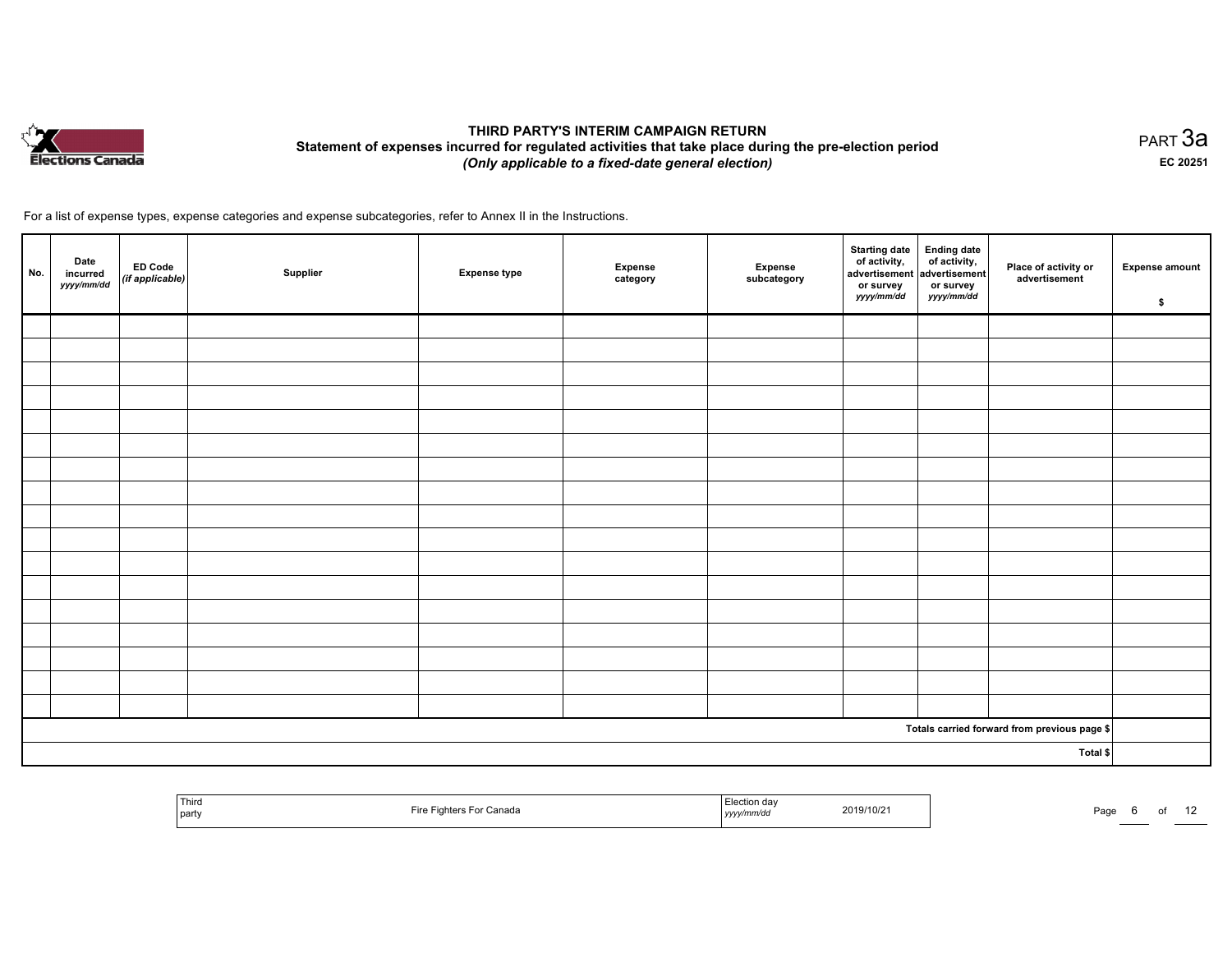

#### THIRD PARTY'S INTERIM CAMPAIGN RETURN Statement of expenses incurred for regulated activities that take place during the pre-election period (Only applicable to <sup>a</sup> fixed-date general election)

равт $\,3$ а EC <sup>20251</sup>

| No. | Date<br>incurred<br>yyyy/mm/dd | ED Code<br>(if applicable) | Supplier | <b>Expense type</b> | <b>Expense</b><br>category | Expense<br>subcategory | Starting date<br>of activity,<br>advertisement<br>or survey<br><i>yyyy/mm/dd</i> | Ending date<br>of activity,<br>advertisement<br>or survey<br>yyyy/mm/dd | Place of activity or<br>advertisement        | <b>Expense amount</b><br>\$ |
|-----|--------------------------------|----------------------------|----------|---------------------|----------------------------|------------------------|----------------------------------------------------------------------------------|-------------------------------------------------------------------------|----------------------------------------------|-----------------------------|
|     |                                |                            |          |                     |                            |                        |                                                                                  |                                                                         |                                              |                             |
|     |                                |                            |          |                     |                            |                        |                                                                                  |                                                                         |                                              |                             |
|     |                                |                            |          |                     |                            |                        |                                                                                  |                                                                         |                                              |                             |
|     |                                |                            |          |                     |                            |                        |                                                                                  |                                                                         |                                              |                             |
|     |                                |                            |          |                     |                            |                        |                                                                                  |                                                                         |                                              |                             |
|     |                                |                            |          |                     |                            |                        |                                                                                  |                                                                         |                                              |                             |
|     |                                |                            |          |                     |                            |                        |                                                                                  |                                                                         |                                              |                             |
|     |                                |                            |          |                     |                            |                        |                                                                                  |                                                                         |                                              |                             |
|     |                                |                            |          |                     |                            |                        |                                                                                  |                                                                         |                                              |                             |
|     |                                |                            |          |                     |                            |                        |                                                                                  |                                                                         |                                              |                             |
|     |                                |                            |          |                     |                            |                        |                                                                                  |                                                                         |                                              |                             |
|     |                                |                            |          |                     |                            |                        |                                                                                  |                                                                         |                                              |                             |
|     |                                |                            |          |                     |                            |                        |                                                                                  |                                                                         |                                              |                             |
|     |                                |                            |          |                     |                            |                        |                                                                                  |                                                                         |                                              |                             |
|     |                                |                            |          |                     |                            |                        |                                                                                  |                                                                         |                                              |                             |
|     |                                |                            |          |                     |                            |                        |                                                                                  |                                                                         |                                              |                             |
|     |                                |                            |          |                     |                            |                        |                                                                                  |                                                                         |                                              |                             |
|     |                                |                            |          |                     |                            |                        |                                                                                  |                                                                         | Totals carried forward from previous page \$ |                             |
|     |                                |                            |          |                     |                            |                        |                                                                                  |                                                                         | Total \$                                     |                             |

| <sup>1</sup> Third<br>Fire Fighters For Canada<br>l party | Election day<br>2019/10/21<br>yyyy/mm/dd | $\overline{\phantom{a}}$<br>Page<br>Ωt |
|-----------------------------------------------------------|------------------------------------------|----------------------------------------|
|-----------------------------------------------------------|------------------------------------------|----------------------------------------|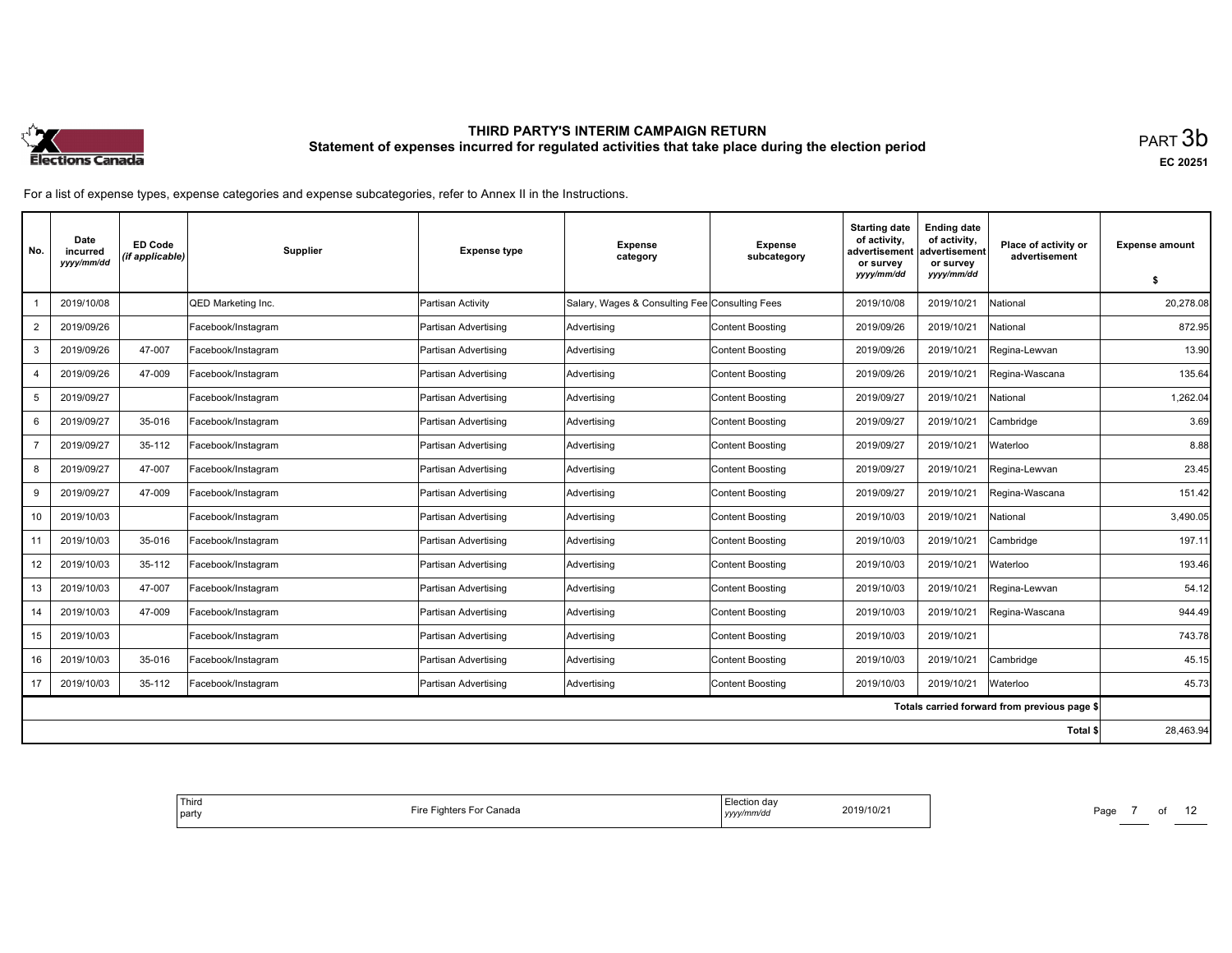

| No.            | Date<br>incurred<br>yyyy/mm/dd | <b>ED Code</b><br>(if applicable) | <b>Supplier</b>    | <b>Expense type</b>         | <b>Expense</b><br>category                     | <b>Expense</b><br>subcategory | <b>Starting date</b><br>of activity,<br>advertisement<br>or survey | <b>Ending date</b><br>of activity,<br>Place of activity or<br>advertisement<br>advertisement<br>or survey |                                              | <b>Expense amount</b> |
|----------------|--------------------------------|-----------------------------------|--------------------|-----------------------------|------------------------------------------------|-------------------------------|--------------------------------------------------------------------|-----------------------------------------------------------------------------------------------------------|----------------------------------------------|-----------------------|
|                |                                |                                   |                    |                             |                                                |                               | yyyy/mm/dd                                                         | yyyy/mm/dd                                                                                                |                                              | \$                    |
|                | 2019/10/08                     |                                   | QED Marketing Inc. | Partisan Activity           | Salary, Wages & Consulting Fee Consulting Fees |                               | 2019/10/08                                                         | 2019/10/21                                                                                                | National                                     | 20.278.08             |
| $\overline{2}$ | 2019/09/26                     |                                   | Facebook/Instagram | Partisan Advertising        | Advertising                                    | Content Boosting              | 2019/09/26                                                         | 2019/10/21                                                                                                | National                                     | 872.95                |
| 3              | 2019/09/26                     | 47-007                            | Facebook/Instagram | Partisan Advertising        | Advertising                                    | Content Boosting              | 2019/09/26                                                         | 2019/10/21                                                                                                | Regina-Lewvan                                | 13.90                 |
| $\overline{4}$ | 2019/09/26                     | 47-009                            | Facebook/Instagram | Partisan Advertising        | Advertising                                    | Content Boosting              | 2019/09/26                                                         | 2019/10/21                                                                                                | Regina-Wascana                               | 135.64                |
| 5              | 2019/09/27                     |                                   | Facebook/Instagram | Partisan Advertising        | Advertising                                    | Content Boosting              | 2019/09/27                                                         | 2019/10/21                                                                                                | National                                     | 1,262.04              |
| 6              | 2019/09/27                     | 35-016                            | Facebook/Instagram | Partisan Advertising        | Advertising                                    | Content Boosting              | 2019/09/27                                                         | 2019/10/21                                                                                                | Cambridge                                    | 3.69                  |
|                | 2019/09/27                     | 35-112                            | Facebook/Instagram | Partisan Advertising        | Advertising                                    | Content Boosting              | 2019/09/27                                                         | 2019/10/21                                                                                                | Waterloo                                     | 8.88                  |
| 8              | 2019/09/27                     | 47-007                            | Facebook/Instagram | Partisan Advertising        | Advertising                                    | Content Boosting              | 2019/09/27                                                         | 2019/10/21                                                                                                | Regina-Lewvan                                | 23.45                 |
| 9              | 2019/09/27                     | 47-009                            | Facebook/Instagram | Partisan Advertising        | Advertising                                    | Content Boosting              | 2019/09/27                                                         | 2019/10/21                                                                                                | Regina-Wascana                               | 151.42                |
| 10             | 2019/10/03                     |                                   | Facebook/Instagram | Partisan Advertising        | Advertising                                    | Content Boosting              | 2019/10/03                                                         | 2019/10/21                                                                                                | National                                     | 3.490.05              |
| 11             | 2019/10/03                     | 35-016                            | Facebook/Instagram | <b>Partisan Advertising</b> | Advertising                                    | Content Boosting              | 2019/10/03                                                         | 2019/10/21                                                                                                | Cambridge                                    | 197.11                |
| 12             | 2019/10/03                     | 35-112                            | Facebook/Instagram | Partisan Advertising        | Advertising                                    | Content Boosting              | 2019/10/03                                                         | 2019/10/21                                                                                                | Waterloo                                     | 193.46                |
| 13             | 2019/10/03                     | 47-007                            | Facebook/Instagram | Partisan Advertising        | Advertising                                    | Content Boosting              | 2019/10/03                                                         | 2019/10/21                                                                                                | Regina-Lewvan                                | 54.12                 |
| 14             | 2019/10/03                     | 47-009                            | Facebook/Instagram | Partisan Advertising        | Advertising                                    | Content Boosting              | 2019/10/03                                                         | 2019/10/21                                                                                                | Regina-Wascana                               | 944.49                |
| 15             | 2019/10/03                     |                                   | Facebook/Instagram | Partisan Advertising        | Advertising                                    | Content Boosting              | 2019/10/03                                                         | 2019/10/21                                                                                                |                                              | 743.78                |
| 16             | 2019/10/03                     | 35-016                            | Facebook/Instagram | Partisan Advertising        | Advertising                                    | Content Boosting              | 2019/10/03                                                         | 2019/10/21                                                                                                | Cambridge                                    | 45.15                 |
| 17             | 2019/10/03                     | 35-112                            | Facebook/Instagram | Partisan Advertising        | Advertising                                    | Content Boosting              | 2019/10/03                                                         | 2019/10/21                                                                                                | Waterloo                                     | 45.73                 |
|                |                                |                                   |                    |                             |                                                |                               |                                                                    |                                                                                                           | Totals carried forward from previous page \$ |                       |
|                |                                |                                   |                    |                             |                                                |                               |                                                                    |                                                                                                           | Total \$                                     | 28,463.94             |

| <sup>1</sup> Third<br>Fire Fighters For Canada<br>' partv | ua,<br>2019/10/21<br>∠01≌<br>mmraa<br>уууу , ,<br>. | Page |
|-----------------------------------------------------------|-----------------------------------------------------|------|
|-----------------------------------------------------------|-----------------------------------------------------|------|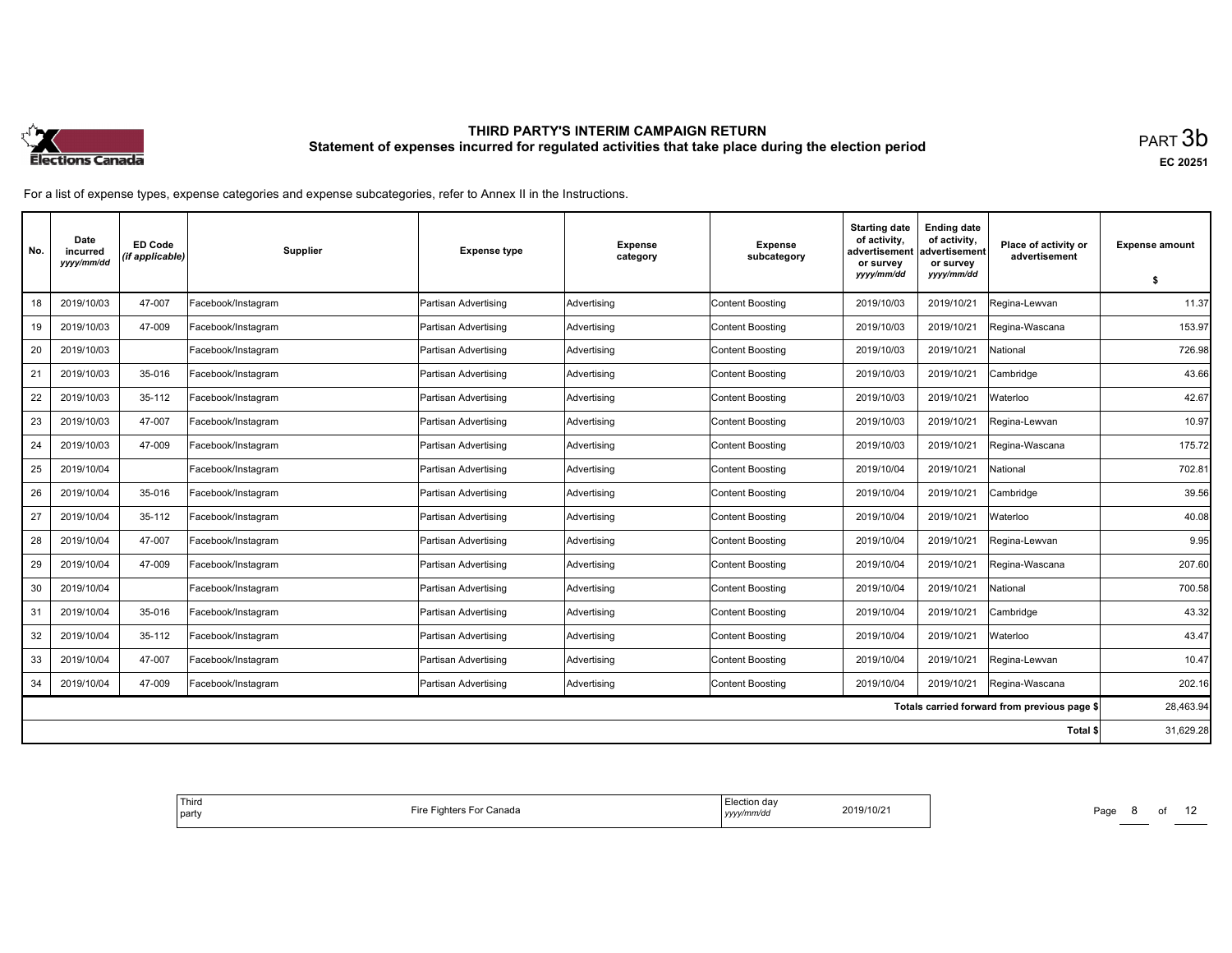

| No. | Date<br>incurred<br>yyyy/mm/dd | <b>ED Code</b><br>(if applicable) | Supplier           | <b>Expense type</b>  | <b>Expense</b><br>category | <b>Expense</b><br>subcategory | <b>Starting date</b><br>of activity,<br>advertisement<br>or survey<br>yyyy/mm/dd | <b>Ending date</b><br>of activity,<br>advertisement<br>or survey<br>yyyy/mm/dd | Place of activity or<br>advertisement        | <b>Expense amount</b><br>\$ |
|-----|--------------------------------|-----------------------------------|--------------------|----------------------|----------------------------|-------------------------------|----------------------------------------------------------------------------------|--------------------------------------------------------------------------------|----------------------------------------------|-----------------------------|
| 18  | 2019/10/03                     | 47-007                            | Facebook/Instagram | Partisan Advertising | Advertising                | <b>Content Boosting</b>       | 2019/10/03                                                                       | 2019/10/21                                                                     | Regina-Lewvan                                | 11.37                       |
| 19  | 2019/10/03                     | 47-009                            | Facebook/Instagram | Partisan Advertising | Advertising                | <b>Content Boosting</b>       | 2019/10/03                                                                       | 2019/10/21                                                                     | Regina-Wascana                               | 153.97                      |
| 20  | 2019/10/03                     |                                   | Facebook/Instagram | Partisan Advertising | Advertising                | <b>Content Boosting</b>       | 2019/10/03                                                                       | 2019/10/21                                                                     | Vational                                     | 726.98                      |
| 21  | 2019/10/03                     | 35-016                            | Facebook/Instagram | Partisan Advertising | Advertising                | <b>Content Boosting</b>       | 2019/10/03                                                                       | 2019/10/21                                                                     | Cambridge                                    | 43.66                       |
| 22  | 2019/10/03                     | 35-112                            | Facebook/Instagram | Partisan Advertising | Advertising                | <b>Content Boosting</b>       | 2019/10/03                                                                       | 2019/10/21                                                                     | Waterloo                                     | 42.67                       |
| 23  | 2019/10/03                     | 47-007                            | Facebook/Instagram | Partisan Advertising | Advertising                | <b>Content Boosting</b>       | 2019/10/03                                                                       | 2019/10/21                                                                     | Regina-Lewvan                                | 10.97                       |
| 24  | 2019/10/03                     | 47-009                            | Facebook/Instagram | Partisan Advertising | Advertising                | <b>Content Boosting</b>       | 2019/10/03                                                                       | 2019/10/21                                                                     | Regina-Wascana                               | 175.72                      |
| 25  | 2019/10/04                     |                                   | Facebook/Instagram | Partisan Advertising | Advertising                | <b>Content Boosting</b>       | 2019/10/04                                                                       | 2019/10/21                                                                     | National                                     | 702.81                      |
| 26  | 2019/10/04                     | 35-016                            | Facebook/Instagram | Partisan Advertising | Advertising                | <b>Content Boosting</b>       | 2019/10/04                                                                       | 2019/10/21                                                                     | Cambridge                                    | 39.56                       |
| 27  | 2019/10/04                     | 35-112                            | Facebook/Instagram | Partisan Advertising | Advertising                | <b>Content Boosting</b>       | 2019/10/04                                                                       | 2019/10/21                                                                     | Waterloo                                     | 40.08                       |
| 28  | 2019/10/04                     | 47-007                            | Facebook/Instagram | Partisan Advertising | Advertising                | <b>Content Boosting</b>       | 2019/10/04                                                                       | 2019/10/21                                                                     | Regina-Lewvan                                | 9.95                        |
| 29  | 2019/10/04                     | 47-009                            | Facebook/Instagram | Partisan Advertising | Advertising                | <b>Content Boosting</b>       | 2019/10/04                                                                       | 2019/10/21                                                                     | Regina-Wascana                               | 207.60                      |
| 30  | 2019/10/04                     |                                   | Facebook/Instagram | Partisan Advertising | Advertising                | <b>Content Boosting</b>       | 2019/10/04                                                                       | 2019/10/21                                                                     | Vational                                     | 700.58                      |
| 31  | 2019/10/04                     | 35-016                            | Facebook/Instagram | Partisan Advertising | Advertising                | <b>Content Boosting</b>       | 2019/10/04                                                                       | 2019/10/21                                                                     | Cambridge                                    | 43.32                       |
| 32  | 2019/10/04                     | 35-112                            | Facebook/Instagram | Partisan Advertising | Advertising                | <b>Content Boosting</b>       | 2019/10/04                                                                       | 2019/10/21                                                                     | <b>Waterloo</b>                              | 43.47                       |
| 33  | 2019/10/04                     | 47-007                            | Facebook/Instagram | Partisan Advertising | Advertising                | <b>Content Boosting</b>       | 2019/10/04                                                                       | 2019/10/21                                                                     | Regina-Lewvan                                | 10.47                       |
| 34  | 2019/10/04                     | 47-009                            | Facebook/Instagram | Partisan Advertising | Advertising                | <b>Content Boosting</b>       | 2019/10/04                                                                       | 2019/10/21                                                                     | Regina-Wascana                               | 202.16                      |
|     |                                |                                   |                    |                      |                            |                               |                                                                                  |                                                                                | Totals carried forward from previous page \$ | 28,463.94                   |
|     |                                |                                   |                    |                      |                            |                               |                                                                                  |                                                                                | Total \$                                     | 31,629.28                   |

| <sup>1</sup> Thira<br>Fire Fighters For Canada<br>party | 0.0000<br>⊨lection dav<br>2019/10/21<br>mm/ac<br>$ $ <i>yyyy</i> | Pag.<br>o |
|---------------------------------------------------------|------------------------------------------------------------------|-----------|
|---------------------------------------------------------|------------------------------------------------------------------|-----------|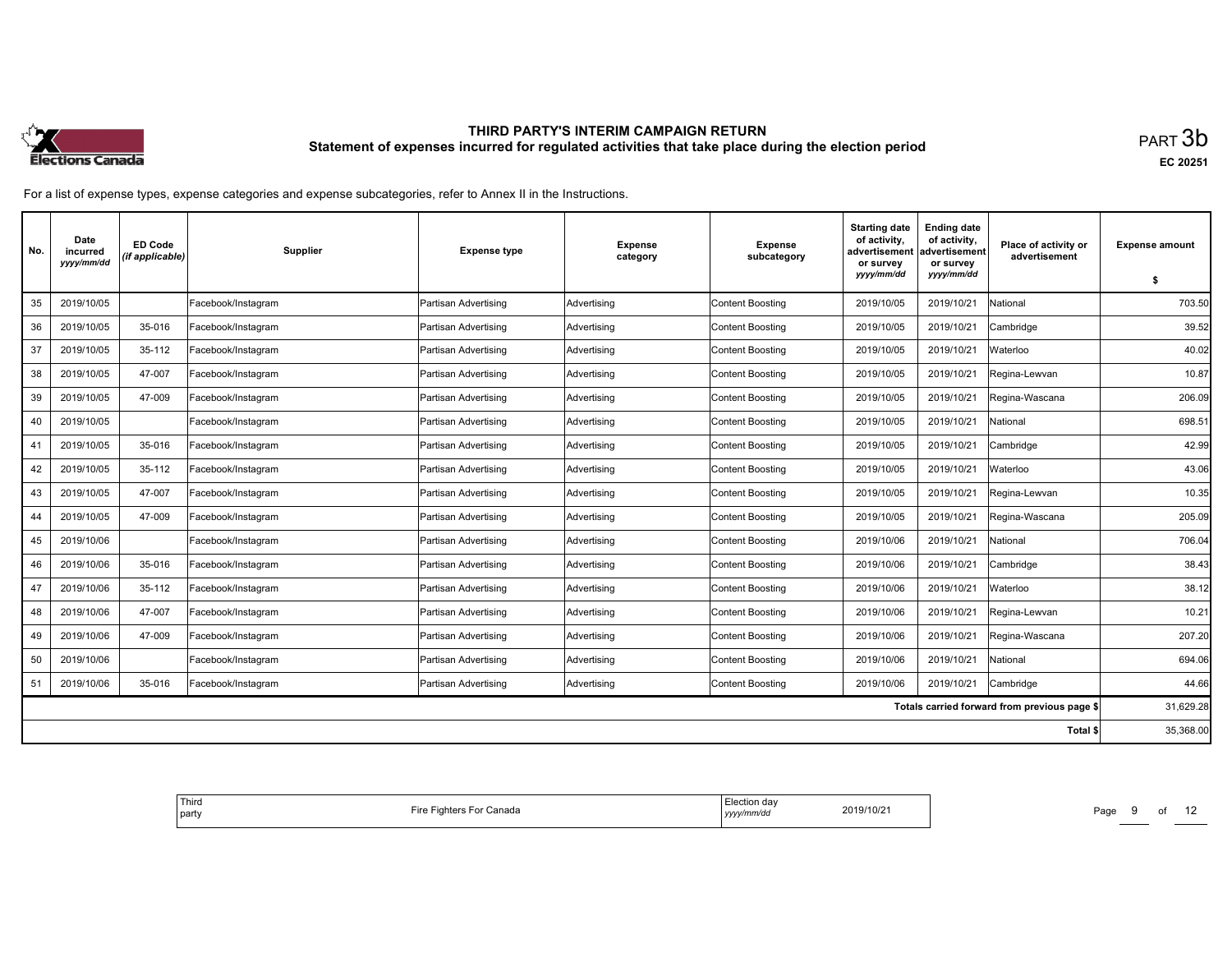

| No. | Date<br>incurred<br>yyyy/mm/dd | <b>ED Code</b><br>(if applicable) | Supplier           | <b>Expense type</b>  | <b>Expense</b><br>category | <b>Expense</b><br>subcategory | <b>Starting date</b><br>of activity,<br>advertisement<br>or survey<br>yyyy/mm/dd | <b>Ending date</b><br>of activity,<br>advertisement<br>or survey<br>yyyy/mm/dd | Place of activity or<br>advertisement        | <b>Expense amount</b><br>\$ |
|-----|--------------------------------|-----------------------------------|--------------------|----------------------|----------------------------|-------------------------------|----------------------------------------------------------------------------------|--------------------------------------------------------------------------------|----------------------------------------------|-----------------------------|
| 35  | 2019/10/05                     |                                   | Facebook/Instagram | Partisan Advertising | Advertising                | <b>Content Boosting</b>       | 2019/10/05                                                                       | 2019/10/21                                                                     | National                                     | 703.50                      |
| 36  | 2019/10/05                     | 35-016                            | Facebook/Instagram | Partisan Advertising | Advertising                | <b>Content Boosting</b>       | 2019/10/05                                                                       | 2019/10/21                                                                     | Cambridge                                    | 39.52                       |
|     |                                |                                   |                    |                      |                            |                               |                                                                                  |                                                                                |                                              |                             |
| 37  | 2019/10/05                     | 35-112                            | Facebook/Instagram | Partisan Advertising | Advertising                | <b>Content Boosting</b>       | 2019/10/05                                                                       | 2019/10/21                                                                     | Waterloo                                     | 40.02                       |
| 38  | 2019/10/05                     | 47-007                            | Facebook/Instagram | Partisan Advertising | Advertising                | <b>Content Boosting</b>       | 2019/10/05                                                                       | 2019/10/21                                                                     | Regina-Lewvan                                | 10.87                       |
| 39  | 2019/10/05                     | 47-009                            | Facebook/Instagram | Partisan Advertising | Advertising                | <b>Content Boosting</b>       | 2019/10/05                                                                       | 2019/10/21                                                                     | Regina-Wascana                               | 206.09                      |
| 40  | 2019/10/05                     |                                   | Facebook/Instagram | Partisan Advertising | Advertising                | <b>Content Boosting</b>       | 2019/10/05                                                                       | 2019/10/21                                                                     | Vational                                     | 698.51                      |
| 41  | 2019/10/05                     | 35-016                            | Facebook/Instagram | Partisan Advertising | Advertising                | <b>Content Boosting</b>       | 2019/10/05                                                                       | 2019/10/21                                                                     | Cambridge                                    | 42.99                       |
| 42  | 2019/10/05                     | 35-112                            | Facebook/Instagram | Partisan Advertising | Advertising                | <b>Content Boosting</b>       | 2019/10/05                                                                       | 2019/10/21                                                                     | Waterloo                                     | 43.06                       |
| 43  | 2019/10/05                     | 47-007                            | Facebook/Instagram | Partisan Advertising | Advertising                | <b>Content Boosting</b>       | 2019/10/05                                                                       | 2019/10/21                                                                     | Regina-Lewvan                                | 10.35                       |
| 44  | 2019/10/05                     | 47-009                            | Facebook/Instagram | Partisan Advertising | Advertising                | <b>Content Boosting</b>       | 2019/10/05                                                                       | 2019/10/21                                                                     | Regina-Wascana                               | 205.09                      |
| 45  | 2019/10/06                     |                                   | Facebook/Instagram | Partisan Advertising | Advertising                | <b>Content Boosting</b>       | 2019/10/06                                                                       | 2019/10/21                                                                     | National                                     | 706.04                      |
| 46  | 2019/10/06                     | 35-016                            | Facebook/Instagram | Partisan Advertising | Advertising                | <b>Content Boosting</b>       | 2019/10/06                                                                       | 2019/10/21                                                                     | Cambridge                                    | 38.43                       |
| 47  | 2019/10/06                     | 35-112                            | Facebook/Instagram | Partisan Advertising | Advertising                | <b>Content Boosting</b>       | 2019/10/06                                                                       | 2019/10/21                                                                     | Waterloo                                     | 38.12                       |
| 48  | 2019/10/06                     | 47-007                            | Facebook/Instagram | Partisan Advertising | Advertising                | <b>Content Boosting</b>       | 2019/10/06                                                                       | 2019/10/21                                                                     | Regina-Lewvan                                | 10.21                       |
| 49  | 2019/10/06                     | 47-009                            | Facebook/Instagram | Partisan Advertising | Advertising                | <b>Content Boosting</b>       | 2019/10/06                                                                       | 2019/10/21                                                                     | Regina-Wascana                               | 207.20                      |
| 50  | 2019/10/06                     |                                   | Facebook/Instagram | Partisan Advertising | Advertising                | <b>Content Boosting</b>       | 2019/10/06                                                                       | 2019/10/21                                                                     | National                                     | 694.06                      |
| 51  | 2019/10/06                     | 35-016                            | Facebook/Instagram | Partisan Advertising | Advertising                | <b>Content Boosting</b>       | 2019/10/06                                                                       | 2019/10/21                                                                     | Cambridge                                    | 44.66                       |
|     |                                |                                   |                    |                      |                            |                               |                                                                                  |                                                                                | Totals carried forward from previous page \$ | 31,629.28                   |
|     |                                |                                   |                    |                      |                            |                               |                                                                                  |                                                                                | Total \$                                     | 35,368.00                   |

| <sup>1</sup> Thira<br>Fire Fighters For Canada<br>party | 0.0000<br>⊨lection dav<br>2019/10/21<br>mm/ac<br>уууу | Doo<br>. .<br>- aut<br>____ |
|---------------------------------------------------------|-------------------------------------------------------|-----------------------------|
|---------------------------------------------------------|-------------------------------------------------------|-----------------------------|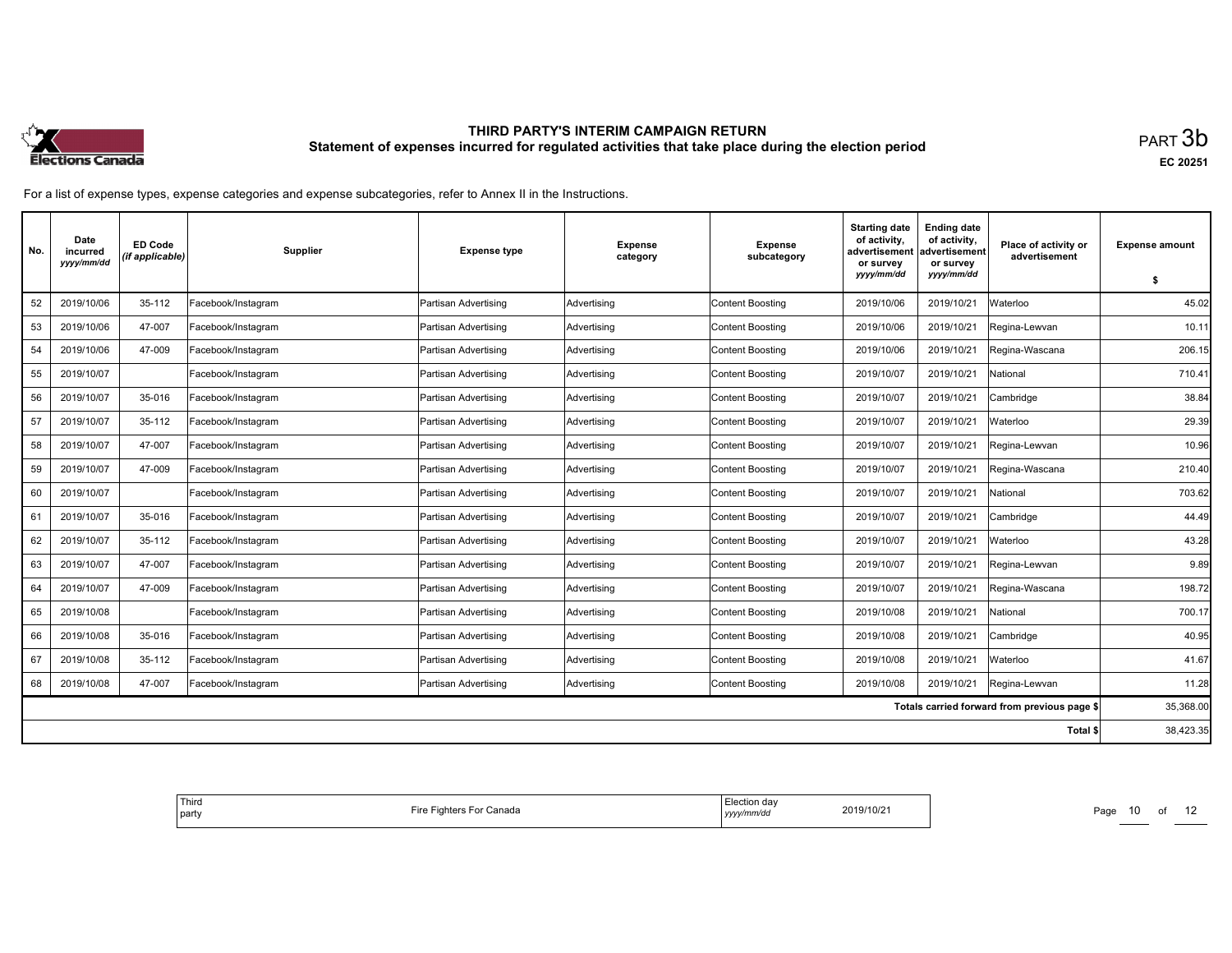

| No. | Date<br>incurred<br>yyyy/mm/dd | <b>ED Code</b><br>(if applicable) | <b>Supplier</b>    | <b>Expense type</b>  | <b>Expense</b><br>category | <b>Expense</b><br>subcategory | <b>Starting date</b><br>of activity,<br>advertisement<br>or survey<br>yyyy/mm/dd | <b>Ending date</b><br>of activity,<br>advertisement<br>or survey<br>yyyy/mm/dd | Place of activity or<br>advertisement        | <b>Expense amount</b><br>\$ |
|-----|--------------------------------|-----------------------------------|--------------------|----------------------|----------------------------|-------------------------------|----------------------------------------------------------------------------------|--------------------------------------------------------------------------------|----------------------------------------------|-----------------------------|
| 52  | 2019/10/06                     | 35-112                            | Facebook/Instagram | Partisan Advertising | Advertising                | <b>Content Boosting</b>       | 2019/10/06                                                                       | 2019/10/21                                                                     | Waterloo                                     | 45.02                       |
| 53  | 2019/10/06                     | 47-007                            | Facebook/Instagram | Partisan Advertising | Advertising                | <b>Content Boosting</b>       | 2019/10/06                                                                       | 2019/10/21                                                                     | Regina-Lewvan                                | 10.11                       |
| 54  | 2019/10/06                     | 47-009                            | Facebook/Instagram | Partisan Advertising | Advertising                | <b>Content Boosting</b>       | 2019/10/06                                                                       | 2019/10/21                                                                     | Regina-Wascana                               | 206.15                      |
| 55  | 2019/10/07                     |                                   | Facebook/Instagram | Partisan Advertising | Advertising                | <b>Content Boosting</b>       | 2019/10/07                                                                       | 2019/10/21                                                                     | National                                     | 710.41                      |
| 56  | 2019/10/07                     | 35-016                            | Facebook/Instagram | Partisan Advertising | Advertising                | <b>Content Boosting</b>       | 2019/10/07                                                                       | 2019/10/21                                                                     | Cambridge                                    | 38.84                       |
| 57  | 2019/10/07                     | 35-112                            | Facebook/Instagram | Partisan Advertising | Advertising                | <b>Content Boosting</b>       | 2019/10/07                                                                       | 2019/10/21                                                                     | Waterloo                                     | 29.39                       |
| 58  | 2019/10/07                     | 47-007                            | Facebook/Instagram | Partisan Advertising | Advertising                | <b>Content Boosting</b>       | 2019/10/07                                                                       | 2019/10/21                                                                     | Regina-Lewvan                                | 10.96                       |
| 59  | 2019/10/07                     | 47-009                            | Facebook/Instagram | Partisan Advertising | Advertising                | <b>Content Boosting</b>       | 2019/10/07                                                                       | 2019/10/21                                                                     | Regina-Wascana                               | 210.40                      |
| 60  | 2019/10/07                     |                                   | Facebook/Instagram | Partisan Advertising | Advertising                | <b>Content Boosting</b>       | 2019/10/07                                                                       | 2019/10/21                                                                     | National                                     | 703.62                      |
| 61  | 2019/10/07                     | 35-016                            | Facebook/Instagram | Partisan Advertising | Advertising                | <b>Content Boosting</b>       | 2019/10/07                                                                       | 2019/10/21                                                                     | Cambridge                                    | 44.49                       |
| 62  | 2019/10/07                     | 35-112                            | Facebook/Instagram | Partisan Advertising | Advertising                | <b>Content Boosting</b>       | 2019/10/07                                                                       | 2019/10/21                                                                     | Waterloo                                     | 43.28                       |
| 63  | 2019/10/07                     | 47-007                            | Facebook/Instagram | Partisan Advertising | Advertising                | <b>Content Boosting</b>       | 2019/10/07                                                                       | 2019/10/21                                                                     | Regina-Lewvan                                | 9.89                        |
| 64  | 2019/10/07                     | 47-009                            | Facebook/Instagram | Partisan Advertising | Advertising                | Content Boosting              | 2019/10/07                                                                       | 2019/10/21                                                                     | Regina-Wascana                               | 198.72                      |
| 65  | 2019/10/08                     |                                   | Facebook/Instagram | Partisan Advertising | Advertising                | Content Boosting              | 2019/10/08                                                                       | 2019/10/21                                                                     | National                                     | 700.17                      |
| 66  | 2019/10/08                     | 35-016                            | Facebook/Instagram | Partisan Advertising | Advertising                | <b>Content Boosting</b>       | 2019/10/08                                                                       | 2019/10/21                                                                     | Cambridge                                    | 40.95                       |
| 67  | 2019/10/08                     | 35-112                            | Facebook/Instagram | Partisan Advertising | Advertising                | <b>Content Boosting</b>       | 2019/10/08                                                                       | 2019/10/21                                                                     | Waterloo                                     | 41.67                       |
| 68  | 2019/10/08                     | 47-007                            | Facebook/Instagram | Partisan Advertising | Advertising                | <b>Content Boosting</b>       | 2019/10/08                                                                       | 2019/10/21                                                                     | Regina-Lewvan                                | 11.28                       |
|     |                                |                                   |                    |                      |                            |                               |                                                                                  |                                                                                | Totals carried forward from previous page \$ | 35,368.00                   |
|     |                                |                                   |                    |                      |                            |                               |                                                                                  |                                                                                | Total \$                                     | 38,423.35                   |

| ' Third<br>Fire Fighters For Canada<br>  party | lection dav:<br>2019/10/21<br>mm/d<br>,,,,, | Page<br>1 U |
|------------------------------------------------|---------------------------------------------|-------------|
|------------------------------------------------|---------------------------------------------|-------------|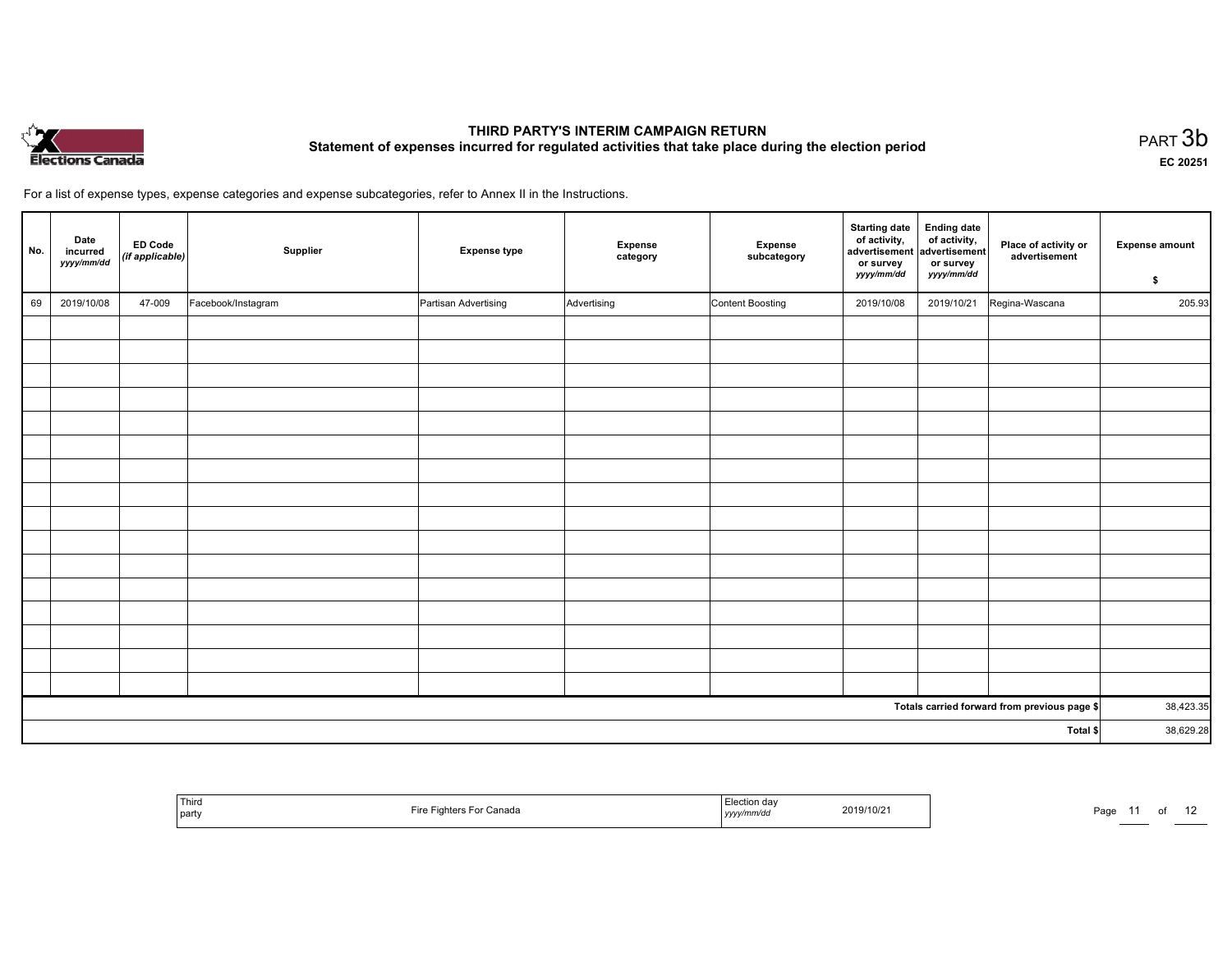

EC <sup>20251</sup>

| No. | Date<br>incurred<br>yyyy/mm/dd | <b>ED Code</b><br>(if applicable) | Supplier           | <b>Expense type</b>  | <b>Expense</b><br>category | Expense<br>subcategory | <b>Starting date</b><br>of activity,<br>advertisement<br>or survey<br>yyyy/mm/dd | <b>Ending date</b><br>of activity,<br>advertisement<br>or survey<br>yyyy/mm/dd | Place of activity or<br>advertisement        | <b>Expense amount</b><br>\$ |  |
|-----|--------------------------------|-----------------------------------|--------------------|----------------------|----------------------------|------------------------|----------------------------------------------------------------------------------|--------------------------------------------------------------------------------|----------------------------------------------|-----------------------------|--|
| 69  | 2019/10/08                     | 47-009                            | Facebook/Instagram | Partisan Advertising | Advertising                | Content Boosting       | 2019/10/08                                                                       | 2019/10/21                                                                     | Regina-Wascana                               | 205.93                      |  |
|     |                                |                                   |                    |                      |                            |                        |                                                                                  |                                                                                |                                              |                             |  |
|     |                                |                                   |                    |                      |                            |                        |                                                                                  |                                                                                |                                              |                             |  |
|     |                                |                                   |                    |                      |                            |                        |                                                                                  |                                                                                |                                              |                             |  |
|     |                                |                                   |                    |                      |                            |                        |                                                                                  |                                                                                |                                              |                             |  |
|     |                                |                                   |                    |                      |                            |                        |                                                                                  |                                                                                |                                              |                             |  |
|     |                                |                                   |                    |                      |                            |                        |                                                                                  |                                                                                |                                              |                             |  |
|     |                                |                                   |                    |                      |                            |                        |                                                                                  |                                                                                |                                              |                             |  |
|     |                                |                                   |                    |                      |                            |                        |                                                                                  |                                                                                |                                              |                             |  |
|     |                                |                                   |                    |                      |                            |                        |                                                                                  |                                                                                |                                              |                             |  |
|     |                                |                                   |                    |                      |                            |                        |                                                                                  |                                                                                |                                              |                             |  |
|     |                                |                                   |                    |                      |                            |                        |                                                                                  |                                                                                |                                              |                             |  |
|     |                                |                                   |                    |                      |                            |                        |                                                                                  |                                                                                |                                              |                             |  |
|     |                                |                                   |                    |                      |                            |                        |                                                                                  |                                                                                |                                              |                             |  |
|     |                                |                                   |                    |                      |                            |                        |                                                                                  |                                                                                |                                              |                             |  |
|     |                                |                                   |                    |                      |                            |                        |                                                                                  |                                                                                |                                              |                             |  |
|     |                                |                                   |                    |                      |                            |                        |                                                                                  |                                                                                |                                              |                             |  |
|     |                                |                                   |                    |                      |                            |                        |                                                                                  |                                                                                | Totals carried forward from previous page \$ | 38,423.35                   |  |
|     |                                |                                   |                    |                      |                            |                        |                                                                                  |                                                                                | Total \$                                     | 38,629.28                   |  |

| <sup>l</sup> Third<br>party | Fire<br>Fighters For Canada<br>. | Election dav<br>yyyy/mm/da | 2019/10/2 | Page |  |  |  |
|-----------------------------|----------------------------------|----------------------------|-----------|------|--|--|--|
|-----------------------------|----------------------------------|----------------------------|-----------|------|--|--|--|